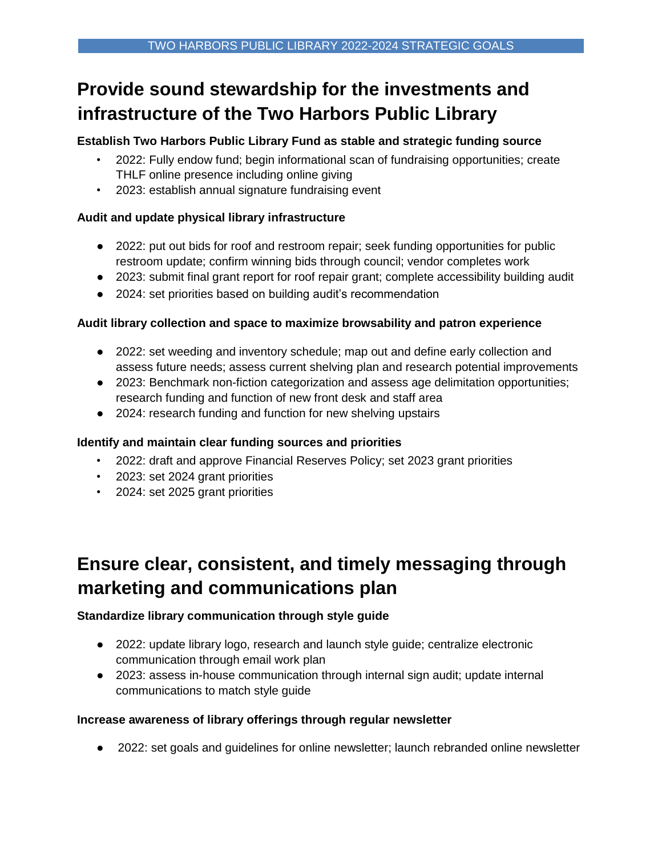# **Provide sound stewardship for the investments and infrastructure of the Two Harbors Public Library**

## **Establish Two Harbors Public Library Fund as stable and strategic funding source**

- 2022: Fully endow fund; begin informational scan of fundraising opportunities; create THLF online presence including online giving
- 2023: establish annual signature fundraising event

## **Audit and update physical library infrastructure**

- 2022: put out bids for roof and restroom repair; seek funding opportunities for public restroom update; confirm winning bids through council; vendor completes work
- 2023: submit final grant report for roof repair grant; complete accessibility building audit
- 2024: set priorities based on building audit's recommendation

### **Audit library collection and space to maximize browsability and patron experience**

- 2022: set weeding and inventory schedule; map out and define early collection and assess future needs; assess current shelving plan and research potential improvements
- 2023: Benchmark non-fiction categorization and assess age delimitation opportunities; research funding and function of new front desk and staff area
- 2024: research funding and function for new shelving upstairs

## **Identify and maintain clear funding sources and priorities**

- 2022: draft and approve Financial Reserves Policy; set 2023 grant priorities
- 2023: set 2024 grant priorities
- 2024: set 2025 grant priorities

# **Ensure clear, consistent, and timely messaging through marketing and communications plan**

## **Standardize library communication through style guide**

- 2022: update library logo, research and launch style guide; centralize electronic communication through email work plan
- 2023: assess in-house communication through internal sign audit; update internal communications to match style guide

### **Increase awareness of library offerings through regular newsletter**

● 2022: set goals and guidelines for online newsletter; launch rebranded online newsletter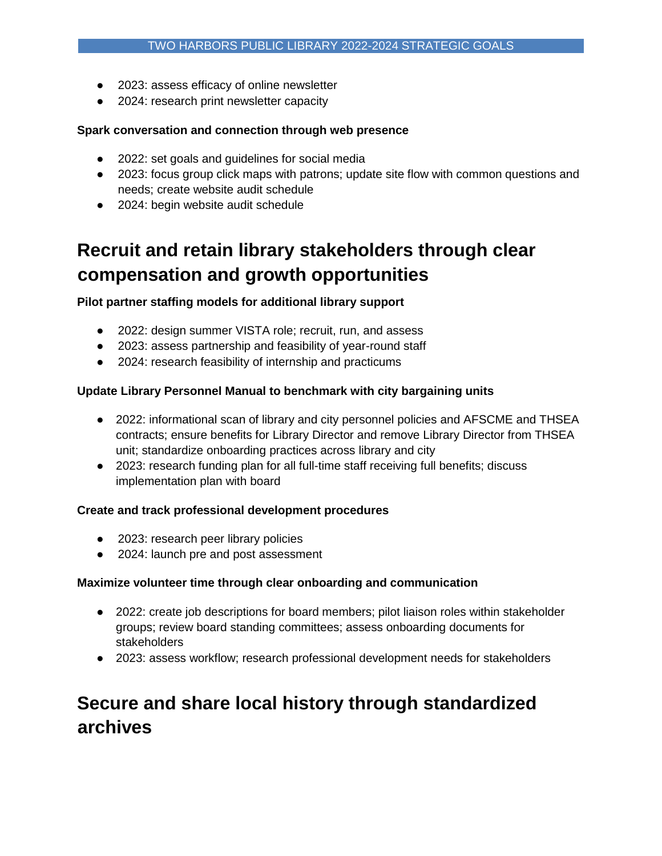- 2023: assess efficacy of online newsletter
- 2024: research print newsletter capacity

### **Spark conversation and connection through web presence**

- 2022: set goals and guidelines for social media
- 2023: focus group click maps with patrons; update site flow with common questions and needs; create website audit schedule
- 2024: begin website audit schedule

# **Recruit and retain library stakeholders through clear compensation and growth opportunities**

**Pilot partner staffing models for additional library support** 

- 2022: design summer VISTA role; recruit, run, and assess
- 2023: assess partnership and feasibility of year-round staff
- 2024: research feasibility of internship and practicums

### **Update Library Personnel Manual to benchmark with city bargaining units**

- 2022: informational scan of library and city personnel policies and AFSCME and THSEA contracts; ensure benefits for Library Director and remove Library Director from THSEA unit; standardize onboarding practices across library and city
- 2023: research funding plan for all full-time staff receiving full benefits; discuss implementation plan with board

### **Create and track professional development procedures**

- 2023: research peer library policies
- 2024: launch pre and post assessment

### **Maximize volunteer time through clear onboarding and communication**

- 2022: create job descriptions for board members; pilot liaison roles within stakeholder groups; review board standing committees; assess onboarding documents for stakeholders
- 2023: assess workflow; research professional development needs for stakeholders

# **Secure and share local history through standardized archives**